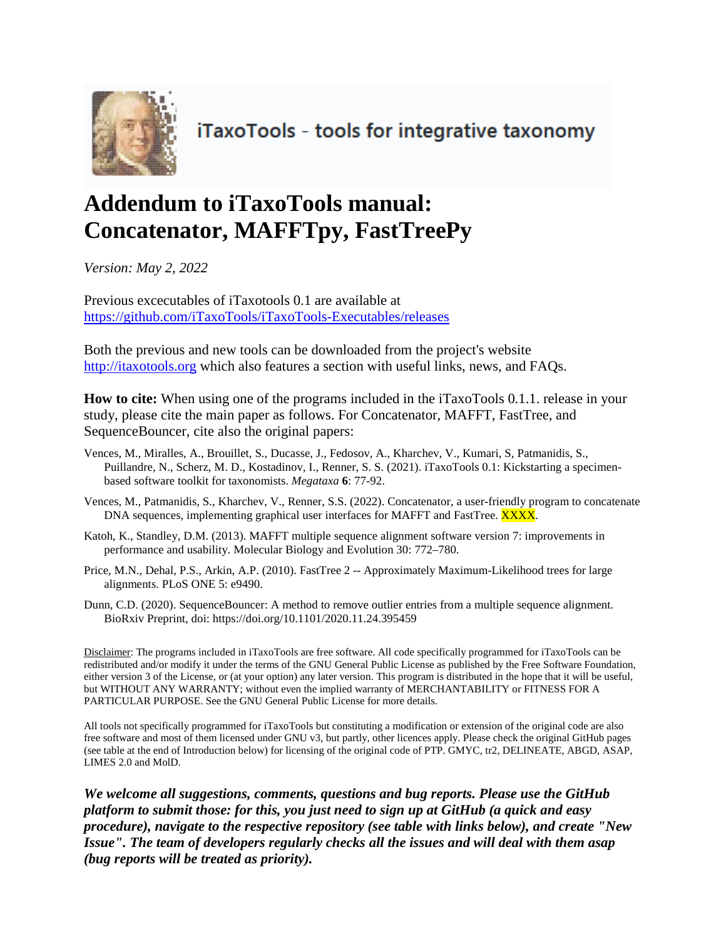

iTaxoTools - tools for integrative taxonomy

# **Addendum to iTaxoTools manual: Concatenator, MAFFTpy, FastTreePy**

*Version: May 2, 2022*

Previous excecutables of iTaxotools 0.1 are available at <https://github.com/iTaxoTools/iTaxoTools-Executables/releases>

Both the previous and new tools can be downloaded from the project's website [http://itaxotools.org](http://itaxotools.org/) which also features a section with useful links, news, and FAQs.

**How to cite:** When using one of the programs included in the iTaxoTools 0.1.1. release in your study, please cite the main paper as follows. For Concatenator, MAFFT, FastTree, and SequenceBouncer, cite also the original papers:

- Vences, M., Miralles, A., Brouillet, S., Ducasse, J., Fedosov, A., Kharchev, V., Kumari, S, Patmanidis, S., Puillandre, N., Scherz, M. D., Kostadinov, I., Renner, S. S. (2021). iTaxoTools 0.1: Kickstarting a specimenbased software toolkit for taxonomists. *Megataxa* **6**: 77-92.
- Vences, M., Patmanidis, S., Kharchev, V., Renner, S.S. (2022). Concatenator, a user-friendly program to concatenate DNA sequences, implementing graphical user interfaces for MAFFT and FastTree. XXXX.
- Katoh, K., Standley, D.M. (2013). MAFFT multiple sequence alignment software version 7: improvements in performance and usability. Molecular Biology and Evolution 30: 772–780.
- Price, M.N., Dehal, P.S., Arkin, A.P. (2010). FastTree 2 -- Approximately Maximum-Likelihood trees for large alignments. PLoS ONE 5: e9490.
- Dunn, C.D. (2020). SequenceBouncer: A method to remove outlier entries from a multiple sequence alignment. BioRxiv Preprint, doi: https://doi.org/10.1101/2020.11.24.395459

Disclaimer: The programs included in iTaxoTools are free software. All code specifically programmed for iTaxoTools can be redistributed and/or modify it under the terms of the GNU General Public License as published by the Free Software Foundation, either version 3 of the License, or (at your option) any later version. This program is distributed in the hope that it will be useful, but WITHOUT ANY WARRANTY; without even the implied warranty of MERCHANTABILITY or FITNESS FOR A PARTICULAR PURPOSE. See the GNU General Public License for more details.

All tools not specifically programmed for iTaxoTools but constituting a modification or extension of the original code are also free software and most of them licensed under GNU v3, but partly, other licences apply. Please check the original GitHub pages (see table at the end of Introduction below) for licensing of the original code of PTP. GMYC, tr2, DELINEATE, ABGD, ASAP, LIMES 2.0 and MolD.

*We welcome all suggestions, comments, questions and bug reports. Please use the GitHub platform to submit those: for this, you just need to sign up at GitHub (a quick and easy procedure), navigate to the respective repository (see table with links below), and create "New Issue". The team of developers regularly checks all the issues and will deal with them asap (bug reports will be treated as priority).*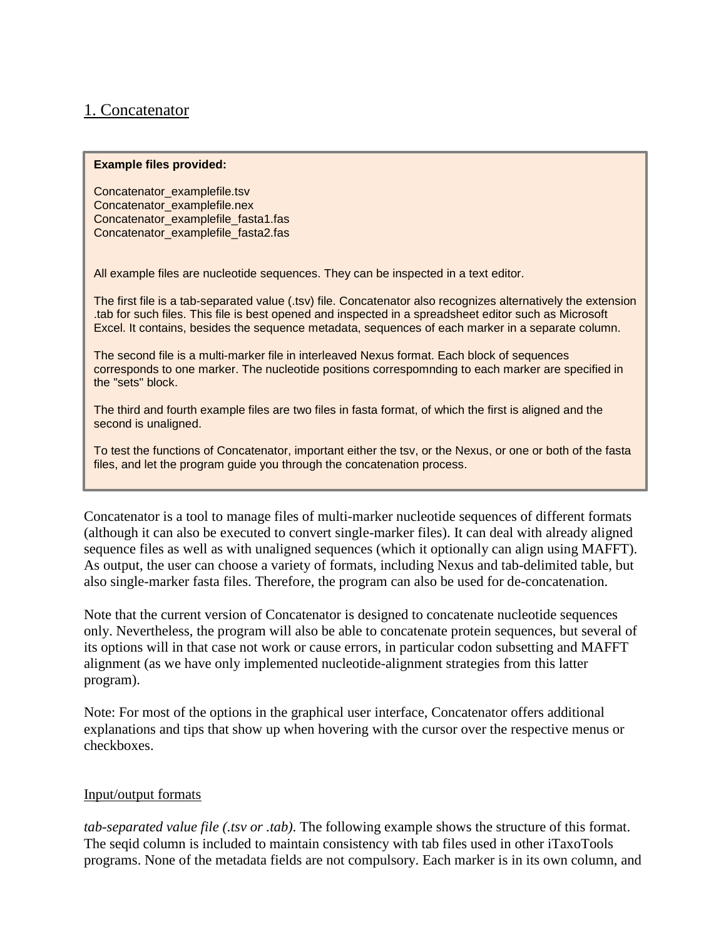## 1. Concatenator

#### **Example files provided:**

Concatenator\_examplefile.tsv Concatenator\_examplefile.nex Concatenator\_examplefile\_fasta1.fas Concatenator\_examplefile\_fasta2.fas

All example files are nucleotide sequences. They can be inspected in a text editor.

The first file is a tab-separated value (.tsv) file. Concatenator also recognizes alternatively the extension .tab for such files. This file is best opened and inspected in a spreadsheet editor such as Microsoft Excel. It contains, besides the sequence metadata, sequences of each marker in a separate column.

The second file is a multi-marker file in interleaved Nexus format. Each block of sequences corresponds to one marker. The nucleotide positions correspomnding to each marker are specified in the "sets" block.

The third and fourth example files are two files in fasta format, of which the first is aligned and the second is unaligned.

To test the functions of Concatenator, important either the tsv, or the Nexus, or one or both of the fasta files, and let the program guide you through the concatenation process.

Concatenator is a tool to manage files of multi-marker nucleotide sequences of different formats (although it can also be executed to convert single-marker files). It can deal with already aligned sequence files as well as with unaligned sequences (which it optionally can align using MAFFT). As output, the user can choose a variety of formats, including Nexus and tab-delimited table, but also single-marker fasta files. Therefore, the program can also be used for de-concatenation.

Note that the current version of Concatenator is designed to concatenate nucleotide sequences only. Nevertheless, the program will also be able to concatenate protein sequences, but several of its options will in that case not work or cause errors, in particular codon subsetting and MAFFT alignment (as we have only implemented nucleotide-alignment strategies from this latter program).

Note: For most of the options in the graphical user interface, Concatenator offers additional explanations and tips that show up when hovering with the cursor over the respective menus or checkboxes.

## Input/output formats

*tab-separated value file (.tsv or .tab)*. The following example shows the structure of this format. The seqid column is included to maintain consistency with tab files used in other iTaxoTools programs. None of the metadata fields are not compulsory. Each marker is in its own column, and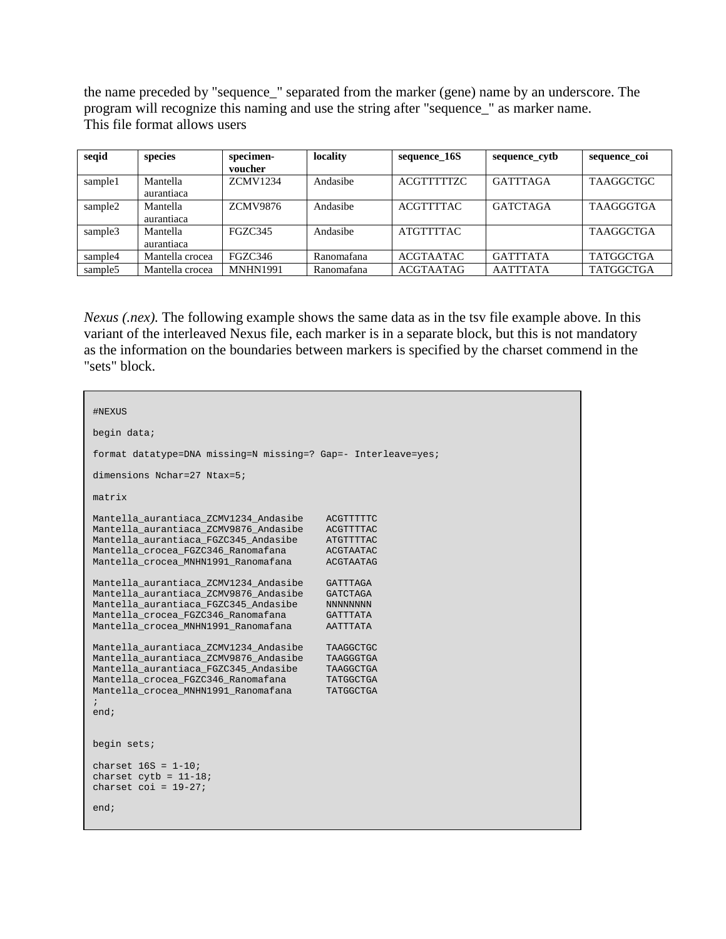the name preceded by "sequence\_" separated from the marker (gene) name by an underscore. The program will recognize this naming and use the string after "sequence\_" as marker name. This file format allows users

| seqid               | species         | specimen-       | locality   | sequence_16S      | sequence_cytb   | sequence coi     |
|---------------------|-----------------|-----------------|------------|-------------------|-----------------|------------------|
|                     |                 | voucher         |            |                   |                 |                  |
| sample1             | Mantella        | <b>ZCMV1234</b> | Andasibe   | <b>ACGTTTTTZC</b> | <b>GATTTAGA</b> | <b>TAAGGCTGC</b> |
|                     | aurantiaca      |                 |            |                   |                 |                  |
| sample2             | Mantella        | <b>ZCMV9876</b> | Andasibe   | <b>ACGTTTTAC</b>  | <b>GATCTAGA</b> | <b>TAAGGGTGA</b> |
|                     | aurantiaca      |                 |            |                   |                 |                  |
| sample3             | Mantella        | <b>FGZC345</b>  | Andasibe   | <b>ATGTTTTAC</b>  |                 | <b>TAAGGCTGA</b> |
|                     | aurantiaca      |                 |            |                   |                 |                  |
| sample4             | Mantella crocea | FGZC346         | Ranomafana | <b>ACGTAATAC</b>  | <b>GATTTATA</b> | <b>TATGGCTGA</b> |
| sample <sub>5</sub> | Mantella crocea | <b>MNHN1991</b> | Ranomafana | <b>ACGTAATAG</b>  | <b>AATTTATA</b> | <b>TATGGCTGA</b> |

*Nexus (.nex).* The following example shows the same data as in the tsv file example above. In this variant of the interleaved Nexus file, each marker is in a separate block, but this is not mandatory as the information on the boundaries between markers is specified by the charset commend in the "sets" block.

| #NEXUS                                                                                                                                                                                                                      |                                                                                      |
|-----------------------------------------------------------------------------------------------------------------------------------------------------------------------------------------------------------------------------|--------------------------------------------------------------------------------------|
| begin data;                                                                                                                                                                                                                 |                                                                                      |
| format datatype=DNA missing=N missing=? Gap=- Interleave=yes;                                                                                                                                                               |                                                                                      |
| dimensions Nchar=27 Ntax=5;                                                                                                                                                                                                 |                                                                                      |
| matrix                                                                                                                                                                                                                      |                                                                                      |
| Mantella aurantiaca ZCMV1234 Andasibe<br>Mantella_aurantiaca_ZCMV9876_Andasibe<br>Mantella aurantiaca FGZC345 Andasibe<br>Mantella_crocea_FGZC346_Ranomafana<br>Mantella crocea MNHN1991 Ranomafana                         | ACGTTTTTC<br>ACGTTTTAC<br>ATGTTTTAC<br><b>ACGTAATAC</b><br><b>ACGTAATAG</b>          |
| Mantella_aurantiaca_ZCMV1234_Andasibe<br>Mantella aurantiaca ZCMV9876 Andasibe<br>Mantella aurantiaca FGZC345 Andasibe<br>Mantella_crocea_FGZC346_Ranomafana<br>Mantella crocea MNHN1991 Ranomafana                         | GATTTAGA<br><b>GATCTAGA</b><br><b>NNNNNNNN</b><br><b>GATTTATA</b><br><b>AATTTATA</b> |
| Mantella aurantiaca ZCMV1234 Andasibe<br>Mantella aurantiaca ZCMV9876 Andasibe<br>Mantella_aurantiaca_FGZC345_Andasibe<br>Mantella crocea FGZC346 Ranomafana<br>Mantella crocea MNHN1991 Ranomafana<br>$\mathbf{r}$<br>end; | TAAGGCTGC<br>TAAGGGTGA<br>TAAGGCTGA<br>TATGGCTGA<br>TATGGCTGA                        |
| begin sets;                                                                                                                                                                                                                 |                                                                                      |
| charset $16S = 1-10i$<br>charset $cytb = 11-18$ ;<br>charset coi = $19-27$ ;                                                                                                                                                |                                                                                      |
| end;                                                                                                                                                                                                                        |                                                                                      |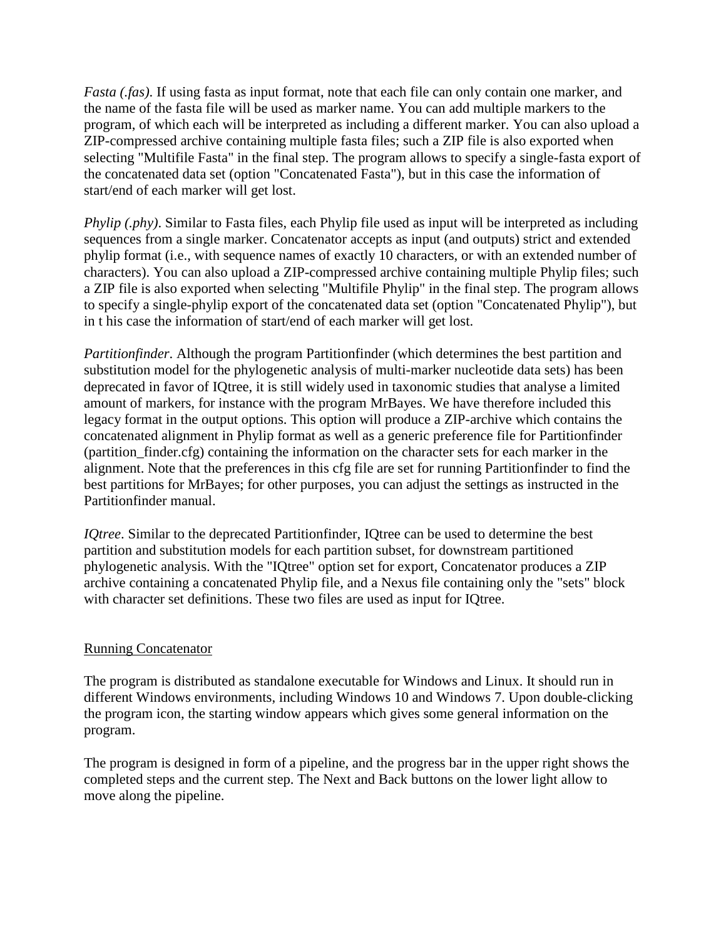*Fasta (.fas)*. If using fasta as input format, note that each file can only contain one marker, and the name of the fasta file will be used as marker name. You can add multiple markers to the program, of which each will be interpreted as including a different marker. You can also upload a ZIP-compressed archive containing multiple fasta files; such a ZIP file is also exported when selecting "Multifile Fasta" in the final step. The program allows to specify a single-fasta export of the concatenated data set (option "Concatenated Fasta"), but in this case the information of start/end of each marker will get lost.

*Phylip (.phy)*. Similar to Fasta files, each Phylip file used as input will be interpreted as including sequences from a single marker. Concatenator accepts as input (and outputs) strict and extended phylip format (i.e., with sequence names of exactly 10 characters, or with an extended number of characters). You can also upload a ZIP-compressed archive containing multiple Phylip files; such a ZIP file is also exported when selecting "Multifile Phylip" in the final step. The program allows to specify a single-phylip export of the concatenated data set (option "Concatenated Phylip"), but in t his case the information of start/end of each marker will get lost.

*Partitionfinder*. Although the program Partitionfinder (which determines the best partition and substitution model for the phylogenetic analysis of multi-marker nucleotide data sets) has been deprecated in favor of IQtree, it is still widely used in taxonomic studies that analyse a limited amount of markers, for instance with the program MrBayes. We have therefore included this legacy format in the output options. This option will produce a ZIP-archive which contains the concatenated alignment in Phylip format as well as a generic preference file for Partitionfinder (partition\_finder.cfg) containing the information on the character sets for each marker in the alignment. Note that the preferences in this cfg file are set for running Partitionfinder to find the best partitions for MrBayes; for other purposes, you can adjust the settings as instructed in the Partitionfinder manual.

*IQtree*. Similar to the deprecated Partitionfinder, IQtree can be used to determine the best partition and substitution models for each partition subset, for downstream partitioned phylogenetic analysis. With the "IQtree" option set for export, Concatenator produces a ZIP archive containing a concatenated Phylip file, and a Nexus file containing only the "sets" block with character set definitions. These two files are used as input for IQtree.

## Running Concatenator

The program is distributed as standalone executable for Windows and Linux. It should run in different Windows environments, including Windows 10 and Windows 7. Upon double-clicking the program icon, the starting window appears which gives some general information on the program.

The program is designed in form of a pipeline, and the progress bar in the upper right shows the completed steps and the current step. The Next and Back buttons on the lower light allow to move along the pipeline.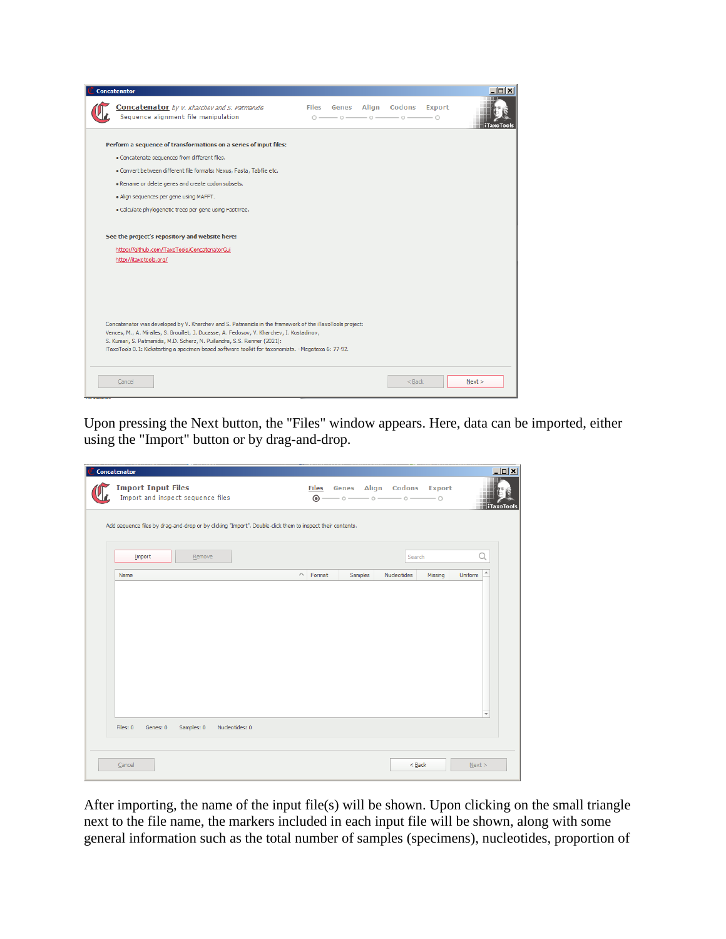| <b>Concatenator</b>                                                                                                                                                                                                                                                                                                                                                                        |              |  |                                                                                                                                       |                           | $ \Box$ $\times$ |
|--------------------------------------------------------------------------------------------------------------------------------------------------------------------------------------------------------------------------------------------------------------------------------------------------------------------------------------------------------------------------------------------|--------------|--|---------------------------------------------------------------------------------------------------------------------------------------|---------------------------|------------------|
| <b>Concatenator</b> by V. Kharchev and S. Patmanidis<br>Sequence alignment file manipulation                                                                                                                                                                                                                                                                                               | $\bigcirc$ - |  | Files Genes Align Codons<br>$\overline{\phantom{a}}$ 0 $\overline{\phantom{a}}$ 0 $\overline{\phantom{a}}$ 0 $\overline{\phantom{a}}$ | <b>Export</b><br>$-\circ$ | i Taxo Tool:     |
| Perform a sequence of transformations on a series of input files:                                                                                                                                                                                                                                                                                                                          |              |  |                                                                                                                                       |                           |                  |
| · Concatenate sequences from different files.                                                                                                                                                                                                                                                                                                                                              |              |  |                                                                                                                                       |                           |                  |
| · Convert between different file formats: Nexus, Fasta, Tabfile etc.                                                                                                                                                                                                                                                                                                                       |              |  |                                                                                                                                       |                           |                  |
| . Rename or delete genes and create codon subsets.                                                                                                                                                                                                                                                                                                                                         |              |  |                                                                                                                                       |                           |                  |
| . Align sequences per gene using MAFFT.                                                                                                                                                                                                                                                                                                                                                    |              |  |                                                                                                                                       |                           |                  |
| · Calculate phylogenetic trees per gene using FastTree.                                                                                                                                                                                                                                                                                                                                    |              |  |                                                                                                                                       |                           |                  |
| See the project's repository and website here:<br>https://github.com/iTaxoTools/ConcatenatorGui<br>http://itaxotools.org/                                                                                                                                                                                                                                                                  |              |  |                                                                                                                                       |                           |                  |
| Concatenator was developed by V. Kharchev and S. Patmanidis in the framework of the iTaxoTools project:<br>Vences, M., A. Miralles, S. Brouillet, J. Ducasse, A. Fedosov, V. Kharchev, I. Kostadinov,<br>S. Kumari, S. Patmanidis, M.D. Scherz, N. Puillandre, S.S. Renner (2021):<br>iTaxoTools 0.1: Kickstarting a specimen-based software toolkit for taxonomists. - Megataxa 6: 77-92. |              |  |                                                                                                                                       |                           |                  |
| Cancel                                                                                                                                                                                                                                                                                                                                                                                     |              |  | $<$ Back                                                                                                                              |                           | Next             |

Upon pressing the Next button, the "Files" window appears. Here, data can be imported, either using the "Import" button or by drag-and-drop.

| Concatenator              |                                                                                                           |                 |                           |         |                                                      |         |                           |
|---------------------------|-----------------------------------------------------------------------------------------------------------|-----------------|---------------------------|---------|------------------------------------------------------|---------|---------------------------|
| <b>Import Input Files</b> | Import and inspect sequence files                                                                         |                 | <b>Files</b><br>$\circ$ - |         | Genes Align Codons Export<br>$-$ 0 $-$ 0 $-$ 0 $-$ 0 |         | <b>iTaxoTools</b>         |
|                           | Add sequence files by drag-and-drop or by clicking "Import". Double-click them to inspect their contents. |                 |                           |         |                                                      |         |                           |
| Import                    | Remove                                                                                                    |                 |                           |         | Search                                               |         | Q                         |
| Name                      |                                                                                                           | $\wedge$ Format |                           | Samples | Nucleotides                                          | Missing | $\overline{a}$<br>Uniform |
|                           |                                                                                                           |                 |                           |         |                                                      |         | $\overline{\mathbf{v}}$   |
| Files: 0<br>Genes: 0      | Samples: 0<br>Nucleotides: 0                                                                              |                 |                           |         |                                                      |         |                           |
| Cancel                    |                                                                                                           |                 |                           |         | $<$ Back                                             |         | Next                      |

After importing, the name of the input file(s) will be shown. Upon clicking on the small triangle next to the file name, the markers included in each input file will be shown, along with some general information such as the total number of samples (specimens), nucleotides, proportion of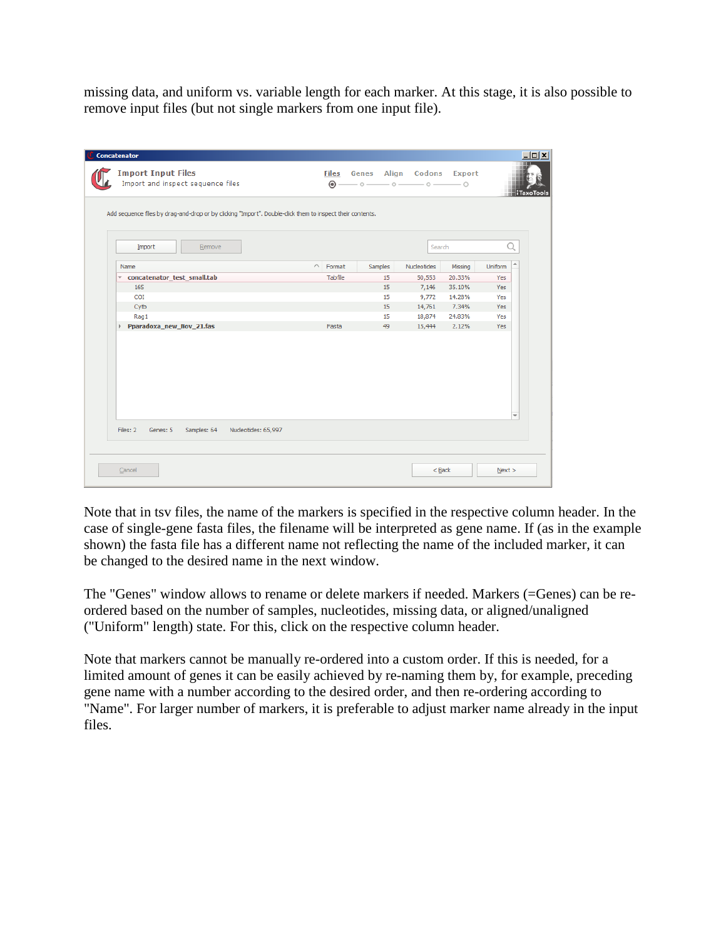missing data, and uniform vs. variable length for each marker. At this stage, it is also possible to remove input files (but not single markers from one input file).

| <b>Concatenator</b>                                                                                       |          |                                  |                                                                                                                                                                                                   |             |         |                                    | $  D $ $\times$ $ $ |
|-----------------------------------------------------------------------------------------------------------|----------|----------------------------------|---------------------------------------------------------------------------------------------------------------------------------------------------------------------------------------------------|-------------|---------|------------------------------------|---------------------|
| <b>Import Input Files</b><br>Import and inspect sequence files                                            |          | <b>Files</b><br>$\circledcirc$ - | Genes Align Codons Export<br>$\overline{\phantom{a}}$ $\circ$ $\overline{\phantom{a}}$ $\circ$ $\overline{\phantom{a}}$ $\circ$ $\overline{\phantom{a}}$ $\circ$ $\overline{\phantom{a}}$ $\circ$ |             |         |                                    | <b>iTaxoTools</b>   |
| Add sequence files by drag-and-drop or by clicking "Import". Double-click them to inspect their contents. |          |                                  |                                                                                                                                                                                                   |             |         |                                    |                     |
| Import<br>Remove                                                                                          |          |                                  |                                                                                                                                                                                                   | Search      |         | Q                                  |                     |
| Name                                                                                                      | $\wedge$ | Format                           | Samples                                                                                                                                                                                           | Nucleotides | Missing | $\blacktriangle$<br><b>Uniform</b> |                     |
| concatenator_test_small.tab                                                                               |          | Tabfile                          | 15                                                                                                                                                                                                | 50,553      | 20.33%  | <b>Yes</b>                         |                     |
| <b>16S</b>                                                                                                |          |                                  | 15                                                                                                                                                                                                | 7,146       | 35.10%  | Yes                                |                     |
| <b>COI</b>                                                                                                |          |                                  | 15                                                                                                                                                                                                | 9,772       | 14.28%  | Yes                                |                     |
| Cytb                                                                                                      |          |                                  | 15                                                                                                                                                                                                | 14,761      | 7.34%   | Yes                                |                     |
| Rag1                                                                                                      |          |                                  | 15                                                                                                                                                                                                | 18,874      | 24.83%  | Yes                                |                     |
| Pparadoxa_new_Nov_21.fas<br>Þ.                                                                            |          | Fasta                            | 49                                                                                                                                                                                                | 15,444      | 2.12%   | Yes                                |                     |
|                                                                                                           |          |                                  |                                                                                                                                                                                                   |             |         | $\overline{\phantom{a}}$           |                     |
| Nucleotides: 65,997<br>Files: 2<br>Samples: 64<br>Genes: 5                                                |          |                                  |                                                                                                                                                                                                   |             |         |                                    |                     |
| Cancel                                                                                                    |          |                                  |                                                                                                                                                                                                   | $<$ Back    |         | Next >                             |                     |

Note that in tsv files, the name of the markers is specified in the respective column header. In the case of single-gene fasta files, the filename will be interpreted as gene name. If (as in the example shown) the fasta file has a different name not reflecting the name of the included marker, it can be changed to the desired name in the next window.

The "Genes" window allows to rename or delete markers if needed. Markers (=Genes) can be reordered based on the number of samples, nucleotides, missing data, or aligned/unaligned ("Uniform" length) state. For this, click on the respective column header.

Note that markers cannot be manually re-ordered into a custom order. If this is needed, for a limited amount of genes it can be easily achieved by re-naming them by, for example, preceding gene name with a number according to the desired order, and then re-ordering according to "Name". For larger number of markers, it is preferable to adjust marker name already in the input files.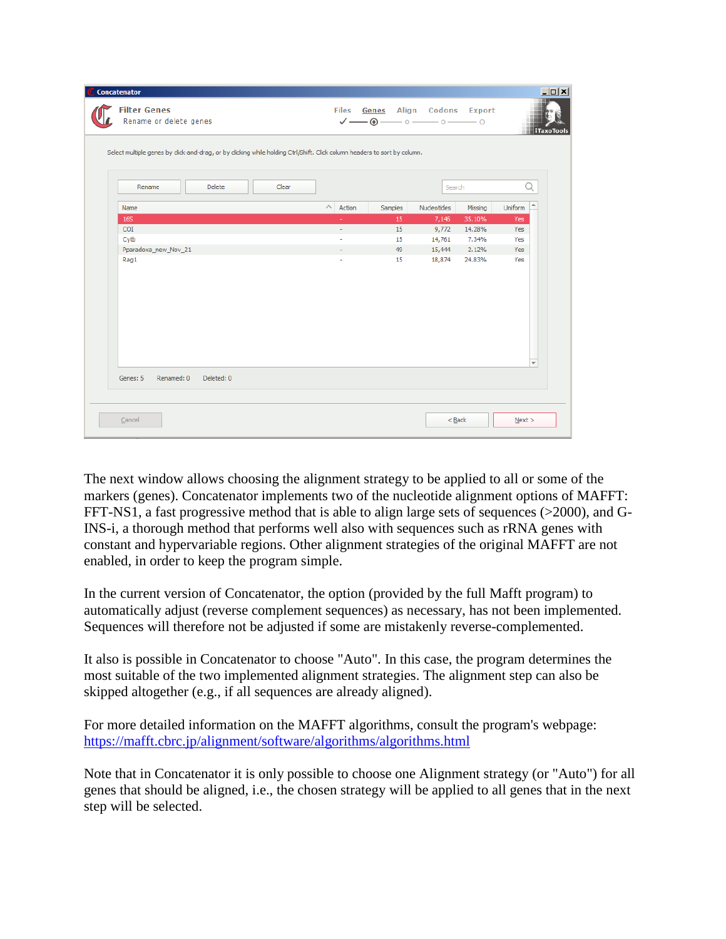|                        | Select multiple genes by click-and-drag, or by clicking while holding Ctrl/Shift. Click column headers to sort by column. |       |                          |         |             |         |                                     |
|------------------------|---------------------------------------------------------------------------------------------------------------------------|-------|--------------------------|---------|-------------|---------|-------------------------------------|
| Rename                 | <b>Delete</b>                                                                                                             | Clear |                          |         | Search      |         | Q                                   |
| Name                   |                                                                                                                           |       | $\wedge$<br>Action       | Samples | Nucleotides | Missing | $\overline{\phantom{a}}$<br>Uniform |
| <b>16S</b>             |                                                                                                                           |       | ÷                        | 15      | 7,146       | 35.10%  | Yes                                 |
| COI                    |                                                                                                                           |       | $\overline{\phantom{a}}$ | 15      | 9,772       | 14.28%  | Yes                                 |
| Cytb                   |                                                                                                                           |       | ٠                        | 15      | 14,761      | 7.34%   | Yes                                 |
| Pparadoxa_new_Nov_21   |                                                                                                                           |       | $\overline{\phantom{a}}$ | 49      | 15,444      | 2.12%   | Yes                                 |
| Rag1                   |                                                                                                                           |       |                          | 15      | 18,874      | 24.83%  | Yes<br>$\overline{\phantom{a}}$     |
| Renamed: 0<br>Genes: 5 | Deleted: 0                                                                                                                |       |                          |         |             |         |                                     |

The next window allows choosing the alignment strategy to be applied to all or some of the markers (genes). Concatenator implements two of the nucleotide alignment options of MAFFT: FFT-NS1, a fast progressive method that is able to align large sets of sequences (>2000), and G-INS-i, a thorough method that performs well also with sequences such as rRNA genes with constant and hypervariable regions. Other alignment strategies of the original MAFFT are not enabled, in order to keep the program simple.

In the current version of Concatenator, the option (provided by the full Mafft program) to automatically adjust (reverse complement sequences) as necessary, has not been implemented. Sequences will therefore not be adjusted if some are mistakenly reverse-complemented.

It also is possible in Concatenator to choose "Auto". In this case, the program determines the most suitable of the two implemented alignment strategies. The alignment step can also be skipped altogether (e.g., if all sequences are already aligned).

For more detailed information on the MAFFT algorithms, consult the program's webpage: <https://mafft.cbrc.jp/alignment/software/algorithms/algorithms.html>

Note that in Concatenator it is only possible to choose one Alignment strategy (or "Auto") for all genes that should be aligned, i.e., the chosen strategy will be applied to all genes that in the next step will be selected.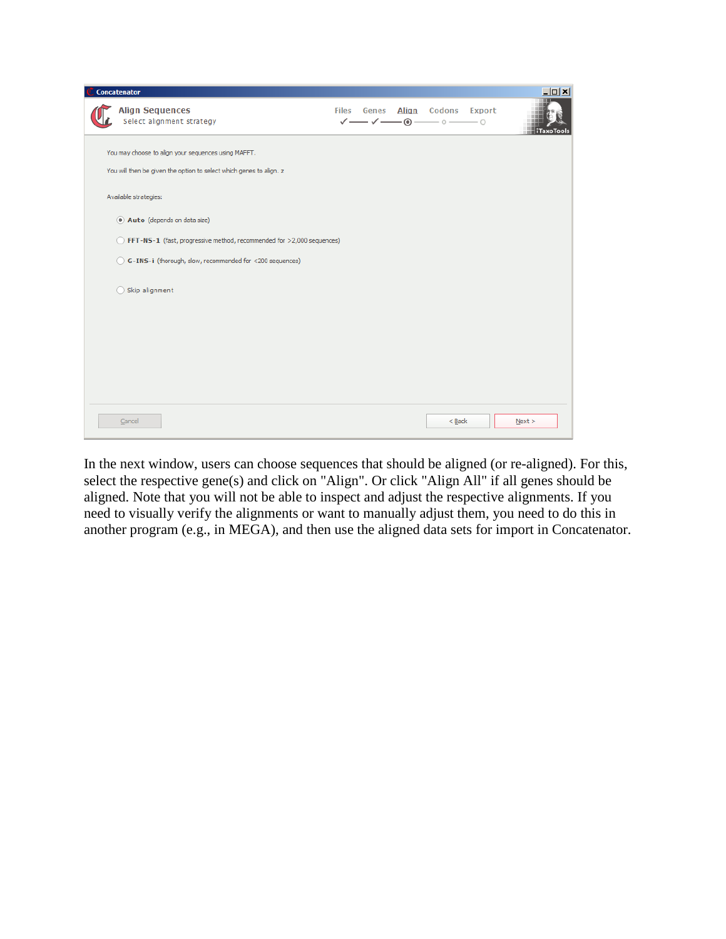| Concatenator                                                                                                               |                       |                      |                     | $\Box$           |
|----------------------------------------------------------------------------------------------------------------------------|-----------------------|----------------------|---------------------|------------------|
| <b>Align Sequences</b><br>Select alignment strategy                                                                        | <b>Files</b><br>Genes | ✓━ <b>✓━━◎</b> ━━◎━━ | Align Codons Export | <b>TaxoTools</b> |
| You may choose to align your sequences using MAFFT.<br>You will then be given the option to select which genes to align. z |                       |                      |                     |                  |
| Available strategies:                                                                                                      |                       |                      |                     |                  |
| 4 Auto (depends on data size)                                                                                              |                       |                      |                     |                  |
| ◯ FFT-NS-1 (fast, progressive method, recommended for >2,000 sequences)                                                    |                       |                      |                     |                  |
| G-INS-i (thorough, slow, recommended for <200 sequences)                                                                   |                       |                      |                     |                  |
| Skip alignment                                                                                                             |                       |                      |                     |                  |
|                                                                                                                            |                       |                      |                     |                  |
|                                                                                                                            |                       |                      |                     |                  |
|                                                                                                                            |                       |                      |                     |                  |
|                                                                                                                            |                       |                      |                     |                  |
|                                                                                                                            |                       |                      |                     |                  |
| Cancel                                                                                                                     |                       |                      | $<$ Back            | Next             |

In the next window, users can choose sequences that should be aligned (or re-aligned). For this, select the respective gene(s) and click on "Align". Or click "Align All" if all genes should be aligned. Note that you will not be able to inspect and adjust the respective alignments. If you need to visually verify the alignments or want to manually adjust them, you need to do this in another program (e.g., in MEGA), and then use the aligned data sets for import in Concatenator.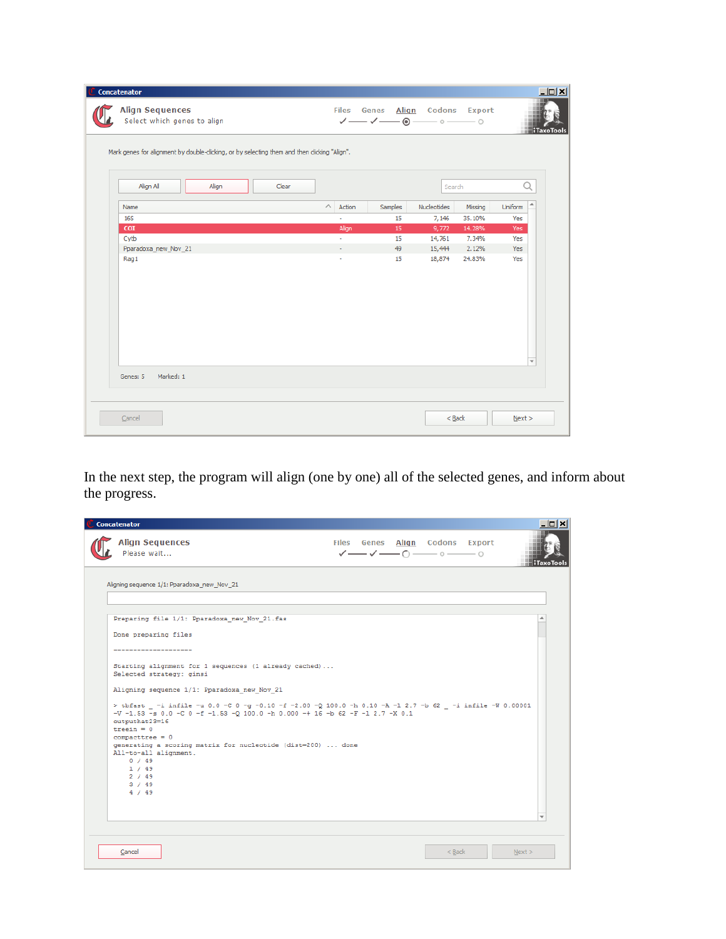| <b>Align Sequences</b><br>Select which genes to align<br>Mark genes for alignment by double-clicking, or by selecting them and then clicking "Align". |       |       |                              |         | Files Genes Align Codons Export<br>✓━━✓━━◉━━◦━━○ |         | <b>TaxoTools</b>                |
|-------------------------------------------------------------------------------------------------------------------------------------------------------|-------|-------|------------------------------|---------|--------------------------------------------------|---------|---------------------------------|
| Align All                                                                                                                                             | Align | Clear |                              |         | Search                                           |         | Q                               |
| Name                                                                                                                                                  |       |       | $\curvearrowright$<br>Action | Samples | Nucleotides                                      | Missing | ٠<br>Uniform                    |
| <b>16S</b>                                                                                                                                            |       |       | ٠                            | 15      | 7,146                                            | 35.10%  | Yes                             |
| <b>COI</b>                                                                                                                                            |       |       | Align                        | 15      | 9,772                                            | 14.28%  | Yes                             |
| Cytb                                                                                                                                                  |       |       | ÷.                           | 15      | 14,761                                           | 7.34%   | Yes                             |
| Pparadoxa_new_Nov_21                                                                                                                                  |       |       | ÷                            | 49      | 15,444                                           | 2.12%   | Yes                             |
| Rag1                                                                                                                                                  |       |       | ٠                            | 15      | 18,874                                           | 24.83%  | Yes<br>$\overline{\phantom{a}}$ |
| Marked: 1<br>Genes: 5                                                                                                                                 |       |       |                              |         |                                                  |         |                                 |

In the next step, the program will align (one by one) all of the selected genes, and inform about the progress.

| <b>Concatenator</b>                                                                                                                                                                                        |  |                                                                                                                                                                            | - 0 ×             |
|------------------------------------------------------------------------------------------------------------------------------------------------------------------------------------------------------------|--|----------------------------------------------------------------------------------------------------------------------------------------------------------------------------|-------------------|
| <b>Align Sequences</b><br>Please wait                                                                                                                                                                      |  | Files Genes Align Codons Export<br>$\checkmark \longrightarrow \checkmark \longrightarrow \hat{C} \longrightarrow \hat{C} \longrightarrow \hat{C} \longrightarrow \hat{C}$ | <b>iTaxoTools</b> |
| Aligning sequence 1/1: Pparadoxa_new_Nov_21                                                                                                                                                                |  |                                                                                                                                                                            |                   |
| Preparing file 1/1: Pparadoxa new Nov 21.fas<br>Done preparing files                                                                                                                                       |  |                                                                                                                                                                            |                   |
| --------------------                                                                                                                                                                                       |  |                                                                                                                                                                            |                   |
| Starting alignment for 1 sequences (1 already cached)<br>Selected strategy: ginsi                                                                                                                          |  |                                                                                                                                                                            |                   |
| Aligning sequence 1/1: Pparadoxa new Nov 21                                                                                                                                                                |  |                                                                                                                                                                            |                   |
| > tbfast -i infile -u 0.0 -C 0 -g -0.10 -f -2.00 -Q 100.0 -h 0.10 -A -1 2.7 -b 62 -i infile -W 0.00001<br>$-V$ -1.53 -s 0.0 -C 0 -f -1.53 -Q 100.0 -h 0.000 -+ 16 -b 62 -F -1 2.7 -X 0.1<br>outputhat23=16 |  |                                                                                                                                                                            |                   |
| treein = $0$<br>$compare tree = 0$                                                                                                                                                                         |  |                                                                                                                                                                            |                   |
| generating a scoring matrix for nucleotide (dist=200)  done<br>All-to-all alignment.                                                                                                                       |  |                                                                                                                                                                            |                   |
| 0 / 49<br>1 / 49                                                                                                                                                                                           |  |                                                                                                                                                                            |                   |
| 2 / 49<br>3 / 49                                                                                                                                                                                           |  |                                                                                                                                                                            |                   |
| 4 / 49                                                                                                                                                                                                     |  |                                                                                                                                                                            |                   |
|                                                                                                                                                                                                            |  |                                                                                                                                                                            |                   |
|                                                                                                                                                                                                            |  |                                                                                                                                                                            |                   |
|                                                                                                                                                                                                            |  |                                                                                                                                                                            |                   |
| Cancel                                                                                                                                                                                                     |  | $<$ Back                                                                                                                                                                   | Next              |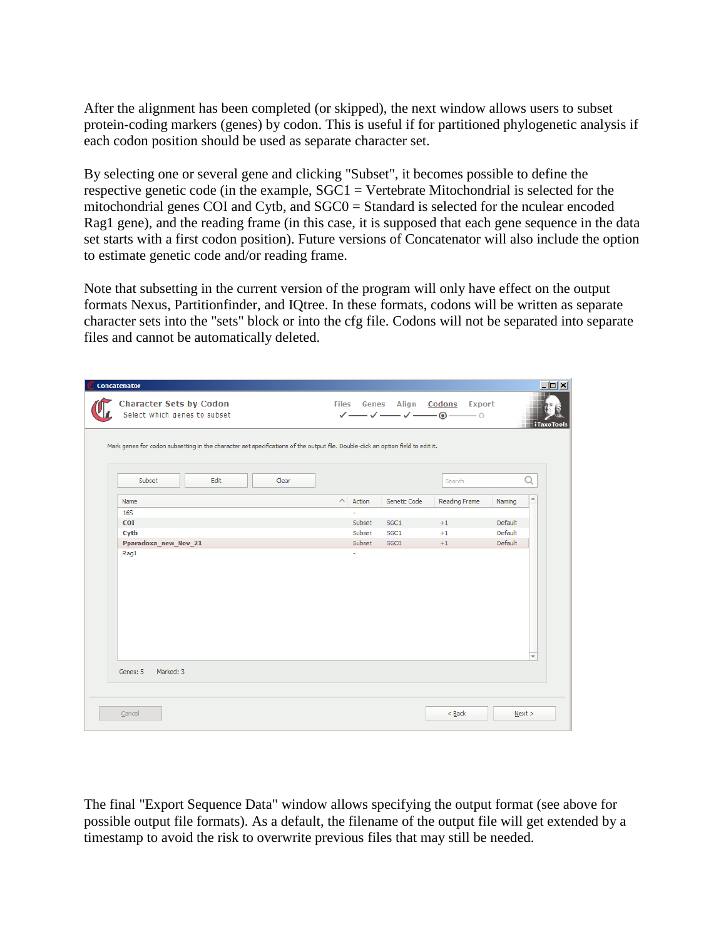After the alignment has been completed (or skipped), the next window allows users to subset protein-coding markers (genes) by codon. This is useful if for partitioned phylogenetic analysis if each codon position should be used as separate character set.

By selecting one or several gene and clicking "Subset", it becomes possible to define the respective genetic code (in the example,  $SGC1 = V$ ertebrate Mitochondrial is selected for the mitochondrial genes COI and Cytb, and SGC0 = Standard is selected for the nculear encoded Rag1 gene), and the reading frame (in this case, it is supposed that each gene sequence in the data set starts with a first codon position). Future versions of Concatenator will also include the option to estimate genetic code and/or reading frame.

Note that subsetting in the current version of the program will only have effect on the output formats Nexus, Partitionfinder, and IQtree. In these formats, codons will be written as separate character sets into the "sets" block or into the cfg file. Codons will not be separated into separate files and cannot be automatically deleted.

| Concatenator                                                   |                                                                                                                                  |       |                              |                  |                                                                                                                                                    |                          | $  $ $  $ $\times$ $ $ |
|----------------------------------------------------------------|----------------------------------------------------------------------------------------------------------------------------------|-------|------------------------------|------------------|----------------------------------------------------------------------------------------------------------------------------------------------------|--------------------------|------------------------|
| <b>Character Sets by Codon</b><br>Select which genes to subset |                                                                                                                                  |       |                              |                  | Files Genes Align Codons Export<br>$\checkmark \longrightarrow \checkmark \longrightarrow \hat{}\blacksquare \bullet \longrightarrow \circledcirc$ |                          | R<br><b>iTaxoTools</b> |
|                                                                | Mark genes for codon subsetting in the character set specifications of the output file. Double-click an option field to edit it. |       |                              |                  |                                                                                                                                                    |                          |                        |
| Subset                                                         | Edit                                                                                                                             | Clear |                              |                  | Search                                                                                                                                             | Q                        |                        |
| Name                                                           |                                                                                                                                  |       | $\curvearrowright$<br>Action | Genetic Code     | Reading Frame                                                                                                                                      | A<br>Naming              |                        |
| <b>16S</b>                                                     |                                                                                                                                  |       |                              |                  |                                                                                                                                                    |                          |                        |
| <b>COI</b>                                                     |                                                                                                                                  |       | Subset                       | SGC <sub>1</sub> | $+1$                                                                                                                                               | Default                  |                        |
| Cytb                                                           |                                                                                                                                  |       | Subset                       | SGC <sub>1</sub> | $+1$                                                                                                                                               | Default                  |                        |
| Pparadoxa_new_Nov_21                                           |                                                                                                                                  |       | Subset                       | SGC0             | $+1$                                                                                                                                               | Default                  |                        |
|                                                                |                                                                                                                                  |       |                              |                  |                                                                                                                                                    | $\overline{\phantom{a}}$ |                        |
| Marked: 3<br>Genes: 5                                          |                                                                                                                                  |       |                              |                  |                                                                                                                                                    |                          |                        |
| Cancel                                                         |                                                                                                                                  |       |                              |                  | $<$ Back                                                                                                                                           | Next                     |                        |

The final "Export Sequence Data" window allows specifying the output format (see above for possible output file formats). As a default, the filename of the output file will get extended by a timestamp to avoid the risk to overwrite previous files that may still be needed.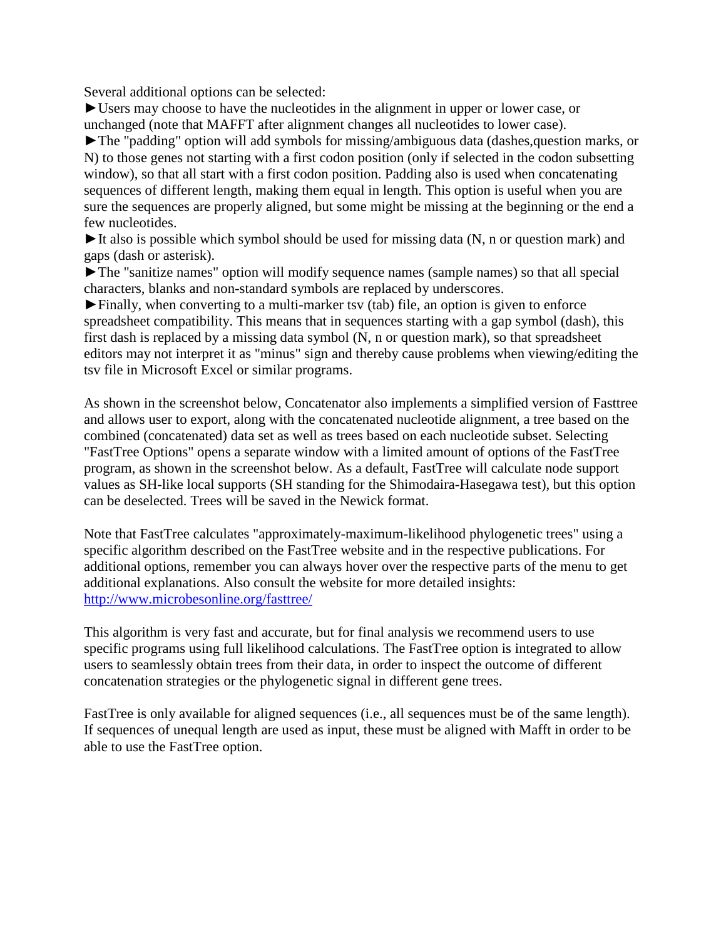Several additional options can be selected:

►Users may choose to have the nucleotides in the alignment in upper or lower case, or unchanged (note that MAFFT after alignment changes all nucleotides to lower case).

►The "padding" option will add symbols for missing/ambiguous data (dashes,question marks, or N) to those genes not starting with a first codon position (only if selected in the codon subsetting window), so that all start with a first codon position. Padding also is used when concatenating sequences of different length, making them equal in length. This option is useful when you are sure the sequences are properly aligned, but some might be missing at the beginning or the end a few nucleotides.

 $\blacktriangleright$  It also is possible which symbol should be used for missing data (N, n or question mark) and gaps (dash or asterisk).

►The "sanitize names" option will modify sequence names (sample names) so that all special characters, blanks and non-standard symbols are replaced by underscores.

►Finally, when converting to a multi-marker tsv (tab) file, an option is given to enforce spreadsheet compatibility. This means that in sequences starting with a gap symbol (dash), this first dash is replaced by a missing data symbol (N, n or question mark), so that spreadsheet editors may not interpret it as "minus" sign and thereby cause problems when viewing/editing the tsv file in Microsoft Excel or similar programs.

As shown in the screenshot below, Concatenator also implements a simplified version of Fasttree and allows user to export, along with the concatenated nucleotide alignment, a tree based on the combined (concatenated) data set as well as trees based on each nucleotide subset. Selecting "FastTree Options" opens a separate window with a limited amount of options of the FastTree program, as shown in the screenshot below. As a default, FastTree will calculate node support values as SH-like local supports (SH standing for the Shimodaira-Hasegawa test), but this option can be deselected. Trees will be saved in the Newick format.

Note that FastTree calculates "approximately-maximum-likelihood phylogenetic trees" using a specific algorithm described on the FastTree website and in the respective publications. For additional options, remember you can always hover over the respective parts of the menu to get additional explanations. Also consult the website for more detailed insights: <http://www.microbesonline.org/fasttree/>

This algorithm is very fast and accurate, but for final analysis we recommend users to use specific programs using full likelihood calculations. The FastTree option is integrated to allow users to seamlessly obtain trees from their data, in order to inspect the outcome of different concatenation strategies or the phylogenetic signal in different gene trees.

FastTree is only available for aligned sequences (i.e., all sequences must be of the same length). If sequences of unequal length are used as input, these must be aligned with Mafft in order to be able to use the FastTree option.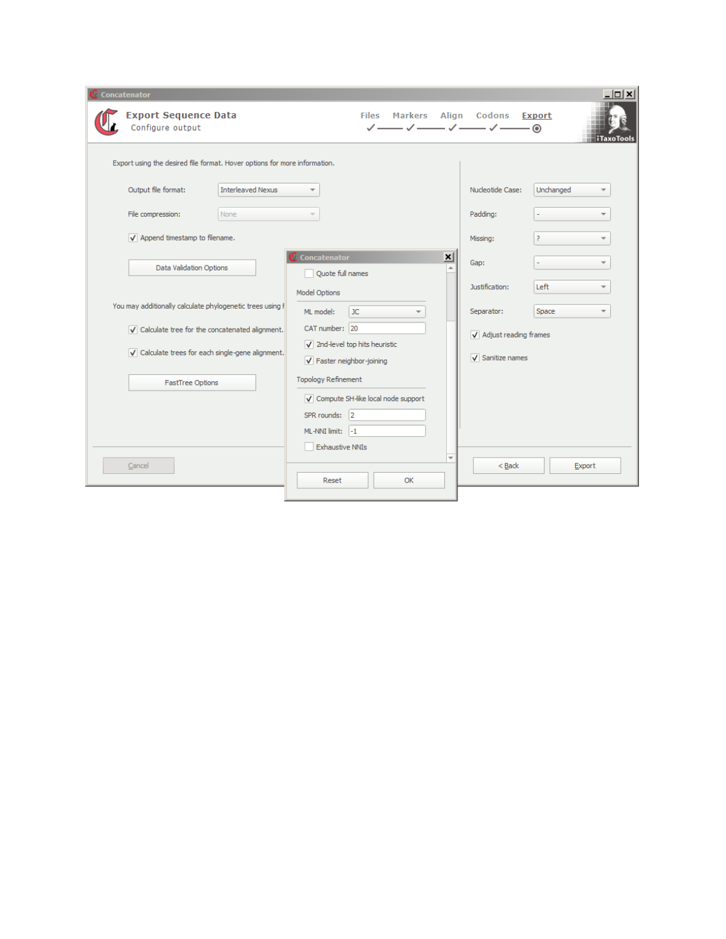| Concatenator                                                                                                              | - 미 ×                                              |
|---------------------------------------------------------------------------------------------------------------------------|----------------------------------------------------|
| <b>Export Sequence Data</b><br><b>Files</b><br><b>Markers</b><br>Configure output<br>$\checkmark$                         | Align Codons<br><b>Export</b><br><b>iTaxoTools</b> |
| Export using the desired file format. Hover options for more information.                                                 |                                                    |
| <b>Interleaved Nexus</b><br>Output file format:<br>$\overline{\phantom{a}}$                                               | Nucleotide Case:<br>Unchanged                      |
| File compression:<br>None                                                                                                 | Padding:                                           |
| V Append timestamp to filename.                                                                                           | Missing:                                           |
| $\vert x \vert$<br><b>Concatenator</b><br>Data Validation Options<br>Ouote full names                                     | Gap:                                               |
| Model Options                                                                                                             | Left<br>Justification:<br>÷                        |
| You may additionally calculate phylogenetic trees using F<br>ML model:<br><b>JC</b>                                       | Space<br>Separator:<br>$\overline{\phantom{a}}$    |
| CAT number: 20<br>$\sqrt{\phantom{a}}$ Calculate tree for the concatenated alignment.                                     | V Adjust reading frames                            |
| $\sqrt{ }$ 2nd-level top hits heuristic<br>√ Calculate trees for each single-gene alignment.<br>V Faster neighbor-joining | $\sqrt{\phantom{a}}$ Sanitize names                |
| <b>Topology Refinement</b><br><b>FastTree Options</b>                                                                     |                                                    |
| √ Compute SH-like local node support                                                                                      |                                                    |
| SPR rounds: 2                                                                                                             |                                                    |
| ML-NNI limit: -1                                                                                                          |                                                    |
| <b>Exhaustive NNIs</b>                                                                                                    |                                                    |
| Cancel<br>OK<br>Reset                                                                                                     | $<$ Back<br>Export                                 |
|                                                                                                                           |                                                    |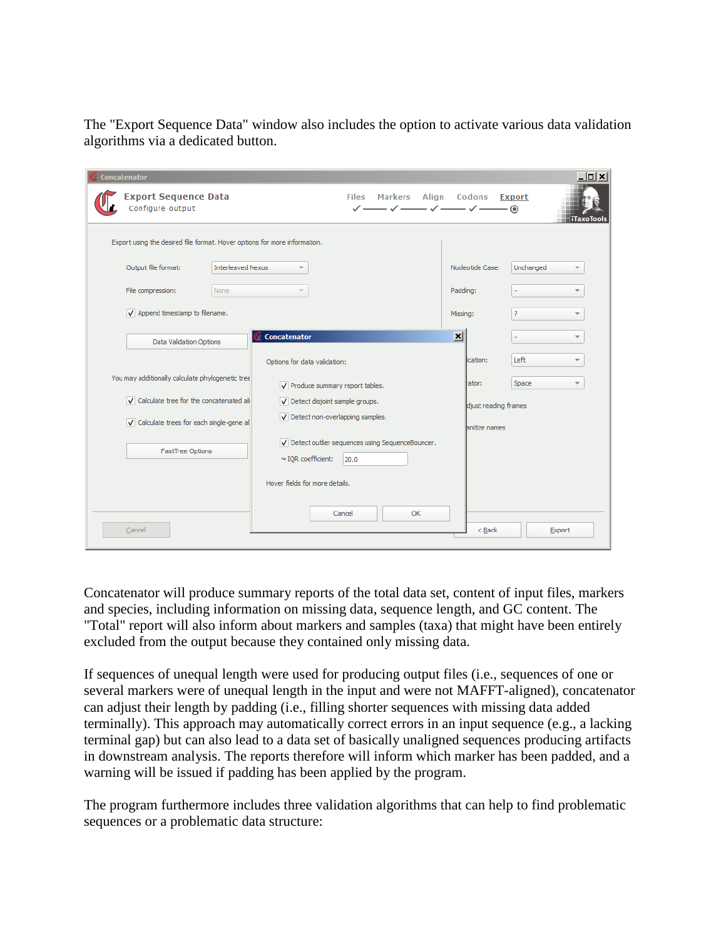The "Export Sequence Data" window also includes the option to activate various data validation algorithms via a dedicated button.

| Concatenator                                                              |                          |                                                                                |                      | $  D $ $\times$ $ $                       |
|---------------------------------------------------------------------------|--------------------------|--------------------------------------------------------------------------------|----------------------|-------------------------------------------|
| <b>Export Sequence Data</b><br>Configure output                           |                          | <b>Markers</b><br><b>Files</b><br>— ノ—                                         | Align Codons         | <b>Export</b><br>- ⊙<br><b>iTaxoTools</b> |
| Export using the desired file format. Hover options for more information. |                          |                                                                                |                      |                                           |
| Output file format:                                                       | <b>Interleaved Nexus</b> |                                                                                | Nucleotide Case:     | Unchanged                                 |
| File compression:                                                         | <b>None</b>              |                                                                                | Padding:             |                                           |
| $\sqrt{\phantom{a}}$ Append timestamp to filename.                        |                          |                                                                                | Missing:             | 2<br>÷                                    |
| Data Validation Options                                                   |                          | Concatenator                                                                   | $\vert x \vert$      |                                           |
|                                                                           |                          | Options for data validation:                                                   | ication:             | Left                                      |
| You may additionally calculate phylogenetic tree                          |                          | V Produce summary report tables.                                               | ator:                | Space<br>$\overline{\phantom{a}}$         |
| V Calculate tree for the concatenated ali                                 |                          | Detect disjoint sample groups.                                                 | djust reading frames |                                           |
| V Calculate trees for each single-gene al                                 |                          | V Detect non-overlapping samples.                                              | <b>Anitize names</b> |                                           |
| <b>FastTree Options</b>                                                   |                          | V Detect outlier sequences using SequenceBouncer.<br>₩IQR coefficient:<br>20.0 |                      |                                           |
|                                                                           |                          | Hover fields for more details.                                                 |                      |                                           |
| Cancel                                                                    |                          | Cancel<br>OK                                                                   | $<$ Back             | Export                                    |

Concatenator will produce summary reports of the total data set, content of input files, markers and species, including information on missing data, sequence length, and GC content. The "Total" report will also inform about markers and samples (taxa) that might have been entirely excluded from the output because they contained only missing data.

If sequences of unequal length were used for producing output files (i.e., sequences of one or several markers were of unequal length in the input and were not MAFFT-aligned), concatenator can adjust their length by padding (i.e., filling shorter sequences with missing data added terminally). This approach may automatically correct errors in an input sequence (e.g., a lacking terminal gap) but can also lead to a data set of basically unaligned sequences producing artifacts in downstream analysis. The reports therefore will inform which marker has been padded, and a warning will be issued if padding has been applied by the program.

The program furthermore includes three validation algorithms that can help to find problematic sequences or a problematic data structure: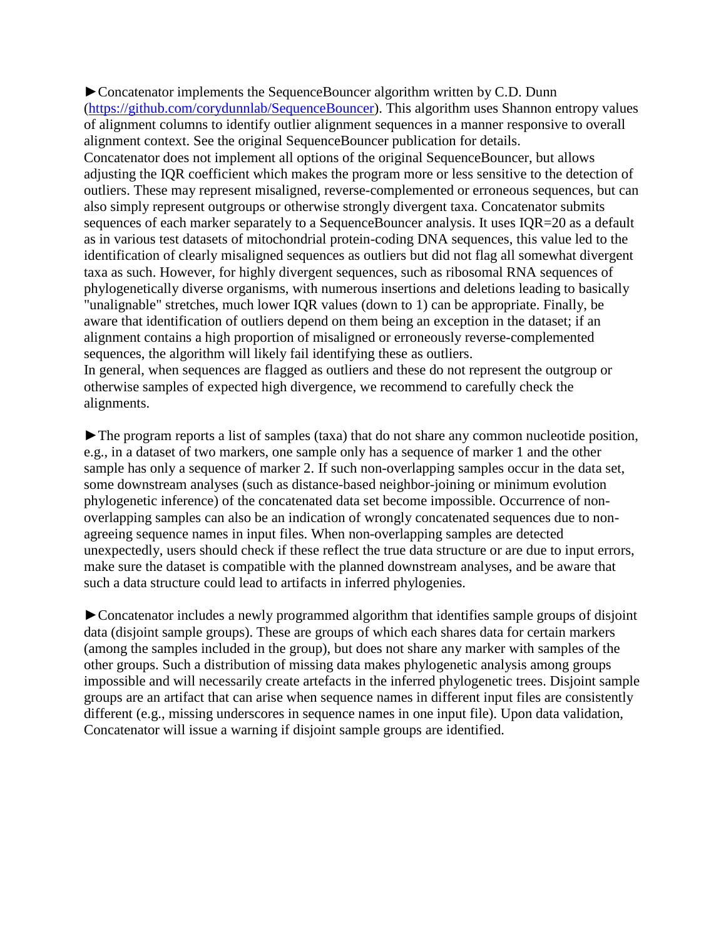►Concatenator implements the SequenceBouncer algorithm written by C.D. Dunn [\(https://github.com/corydunnlab/SequenceBouncer\)](https://github.com/corydunnlab/SequenceBouncer). This algorithm uses Shannon entropy values of alignment columns to identify outlier alignment sequences in a manner responsive to overall alignment context. See the original SequenceBouncer publication for details. Concatenator does not implement all options of the original SequenceBouncer, but allows adjusting the IQR coefficient which makes the program more or less sensitive to the detection of outliers. These may represent misaligned, reverse-complemented or erroneous sequences, but can also simply represent outgroups or otherwise strongly divergent taxa. Concatenator submits sequences of each marker separately to a SequenceBouncer analysis. It uses IQR=20 as a default as in various test datasets of mitochondrial protein-coding DNA sequences, this value led to the identification of clearly misaligned sequences as outliers but did not flag all somewhat divergent taxa as such. However, for highly divergent sequences, such as ribosomal RNA sequences of phylogenetically diverse organisms, with numerous insertions and deletions leading to basically "unalignable" stretches, much lower IQR values (down to 1) can be appropriate. Finally, be aware that identification of outliers depend on them being an exception in the dataset; if an alignment contains a high proportion of misaligned or erroneously reverse-complemented sequences, the algorithm will likely fail identifying these as outliers. In general, when sequences are flagged as outliers and these do not represent the outgroup or

otherwise samples of expected high divergence, we recommend to carefully check the alignments.

►The program reports a list of samples (taxa) that do not share any common nucleotide position, e.g., in a dataset of two markers, one sample only has a sequence of marker 1 and the other sample has only a sequence of marker 2. If such non-overlapping samples occur in the data set, some downstream analyses (such as distance-based neighbor-joining or minimum evolution phylogenetic inference) of the concatenated data set become impossible. Occurrence of nonoverlapping samples can also be an indication of wrongly concatenated sequences due to nonagreeing sequence names in input files. When non-overlapping samples are detected unexpectedly, users should check if these reflect the true data structure or are due to input errors, make sure the dataset is compatible with the planned downstream analyses, and be aware that such a data structure could lead to artifacts in inferred phylogenies.

►Concatenator includes a newly programmed algorithm that identifies sample groups of disjoint data (disjoint sample groups). These are groups of which each shares data for certain markers (among the samples included in the group), but does not share any marker with samples of the other groups. Such a distribution of missing data makes phylogenetic analysis among groups impossible and will necessarily create artefacts in the inferred phylogenetic trees. Disjoint sample groups are an artifact that can arise when sequence names in different input files are consistently different (e.g., missing underscores in sequence names in one input file). Upon data validation, Concatenator will issue a warning if disjoint sample groups are identified.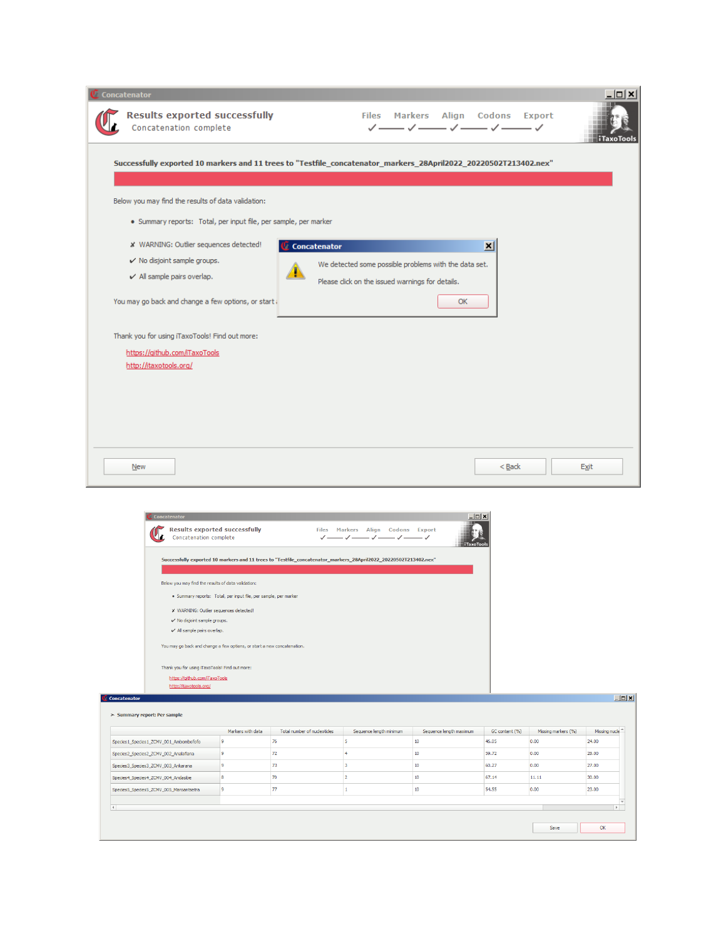| Concatenation complete                                                                                           | <b>Results exported successfully</b>                                                                             |                             |                                                          | Files Markers Align Codons Export<br>V — V — V — V — V |                         |                             | $\dagger$ iTaxoTools   |
|------------------------------------------------------------------------------------------------------------------|------------------------------------------------------------------------------------------------------------------|-----------------------------|----------------------------------------------------------|--------------------------------------------------------|-------------------------|-----------------------------|------------------------|
| Successfully exported 10 markers and 11 trees to "Testfile_concatenator_markers_28April2022_20220502T213402.nex" |                                                                                                                  |                             |                                                          |                                                        |                         |                             |                        |
| Below you may find the results of data validation:                                                               |                                                                                                                  |                             |                                                          |                                                        |                         |                             |                        |
| · Summary reports: Total, per input file, per sample, per marker                                                 |                                                                                                                  |                             |                                                          |                                                        |                         |                             |                        |
| * WARNING: Outlier sequences detected!                                                                           |                                                                                                                  | Concatenator                |                                                          |                                                        | ⊠                       |                             |                        |
| $\checkmark$ No disjoint sample groups.                                                                          |                                                                                                                  |                             |                                                          |                                                        |                         |                             |                        |
| $\checkmark$ All sample pairs overlap.                                                                           |                                                                                                                  |                             | We detected some possible problems with the data set.    |                                                        |                         |                             |                        |
|                                                                                                                  |                                                                                                                  |                             | Please click on the issued warnings for details.         |                                                        |                         |                             |                        |
| You may go back and change a few options, or start                                                               |                                                                                                                  |                             |                                                          | OK                                                     |                         |                             |                        |
| Thank you for using iTaxoTools! Find out more:                                                                   |                                                                                                                  |                             |                                                          |                                                        |                         |                             |                        |
| https://github.com/iTaxoTools                                                                                    |                                                                                                                  |                             |                                                          |                                                        |                         |                             |                        |
| http://itaxotools.org/                                                                                           |                                                                                                                  |                             |                                                          |                                                        |                         |                             |                        |
|                                                                                                                  |                                                                                                                  |                             |                                                          |                                                        |                         |                             |                        |
|                                                                                                                  |                                                                                                                  |                             |                                                          |                                                        |                         |                             |                        |
|                                                                                                                  |                                                                                                                  |                             |                                                          |                                                        |                         |                             |                        |
|                                                                                                                  |                                                                                                                  |                             |                                                          |                                                        |                         |                             |                        |
|                                                                                                                  |                                                                                                                  |                             |                                                          |                                                        |                         |                             |                        |
|                                                                                                                  |                                                                                                                  |                             |                                                          |                                                        |                         |                             |                        |
|                                                                                                                  |                                                                                                                  |                             |                                                          |                                                        |                         |                             |                        |
|                                                                                                                  |                                                                                                                  |                             |                                                          |                                                        |                         |                             |                        |
| New                                                                                                              |                                                                                                                  |                             |                                                          |                                                        | $<$ Back                |                             | <b>Exit</b>            |
|                                                                                                                  |                                                                                                                  |                             |                                                          |                                                        |                         |                             |                        |
|                                                                                                                  |                                                                                                                  |                             |                                                          |                                                        |                         |                             |                        |
| Concatenator                                                                                                     |                                                                                                                  |                             |                                                          |                                                        | - <b>D</b> ×            |                             |                        |
| <b>Results exported successfully</b><br>Concatenation complete                                                   |                                                                                                                  |                             | Files Markers Align Codons Export<br><b>√──√──√──√──</b> |                                                        |                         |                             |                        |
|                                                                                                                  |                                                                                                                  |                             |                                                          |                                                        | TaxoTool                |                             |                        |
|                                                                                                                  | Successfully exported 10 markers and 11 trees to "Testfile_concatenator_markers_28April2022_20220502T213402.nex" |                             |                                                          |                                                        |                         |                             |                        |
|                                                                                                                  |                                                                                                                  |                             |                                                          |                                                        |                         |                             |                        |
| Below you may find the results of data validation:                                                               |                                                                                                                  |                             |                                                          |                                                        |                         |                             |                        |
|                                                                                                                  | · Summary reports: Total, per input file, per sample, per marker                                                 |                             |                                                          |                                                        |                         |                             |                        |
| X WARNING: Outlier sequences detected!                                                                           |                                                                                                                  |                             |                                                          |                                                        |                         |                             |                        |
| $\checkmark$ No disjoint sample groups.<br>$\checkmark$ All sample pairs overlap.                                |                                                                                                                  |                             |                                                          |                                                        |                         |                             |                        |
|                                                                                                                  | You may go back and change a few options, or start a new concatenation.                                          |                             |                                                          |                                                        |                         |                             |                        |
|                                                                                                                  |                                                                                                                  |                             |                                                          |                                                        |                         |                             |                        |
| Thank you for using iTaxoTools! Find out more:                                                                   |                                                                                                                  |                             |                                                          |                                                        |                         |                             |                        |
| https://github.com/iTaxoTools<br>http://itaxotools.org/                                                          |                                                                                                                  |                             |                                                          |                                                        |                         |                             |                        |
| <b>Concatenator</b>                                                                                              |                                                                                                                  |                             |                                                          |                                                        |                         |                             | <b>Lox</b>             |
|                                                                                                                  |                                                                                                                  |                             |                                                          |                                                        |                         |                             |                        |
| > Summary report: Per sample                                                                                     |                                                                                                                  |                             |                                                          |                                                        |                         |                             |                        |
|                                                                                                                  | Markers with data<br>9<br>76                                                                                     | Total number of nucleotides | Sequence length minimum<br>5                             | Sequence length maximum<br>10                          | GC content (%)<br>46.05 | Missing markers (%)<br>0.00 | Missing nucle<br>24.00 |
| Species 1_Species 1_ZCMV_001_Ambombofofo<br>Species2_Species2_ZCMV_002_Analafiana                                | 9<br>72                                                                                                          |                             | $\vert$ 4                                                | $10\,$                                                 | 59.72                   | 0.00                        | 28.00                  |
| Species3_Species3_ZCMV_003_Ankarana                                                                              | 19<br>73                                                                                                         |                             | $\overline{\mathbf{3}}$                                  | 10                                                     | 60.27                   | 0.00                        | 27.00                  |
| Species4_Species4_ZCMV_004_Andasibe                                                                              | 70<br>8                                                                                                          |                             | $\overline{2}$                                           | 10                                                     | 67.14                   | 11.11                       | 30.00                  |
| Species5_Species5_ZCMV_005_Maroantsetra                                                                          | 77<br>9                                                                                                          |                             | $\mathbf{1}$                                             | 10                                                     | 54.55                   | 0.00                        | 23.00                  |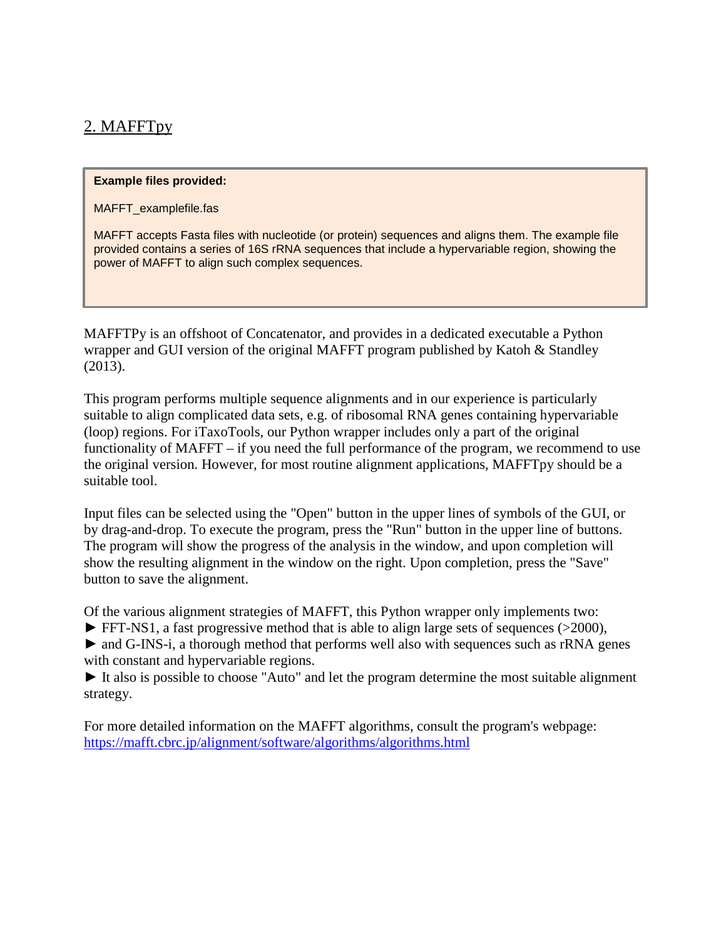# 2. MAFFTpy

#### **Example files provided:**

MAFFT\_examplefile.fas

MAFFT accepts Fasta files with nucleotide (or protein) sequences and aligns them. The example file provided contains a series of 16S rRNA sequences that include a hypervariable region, showing the power of MAFFT to align such complex sequences.

MAFFTPy is an offshoot of Concatenator, and provides in a dedicated executable a Python wrapper and GUI version of the original MAFFT program published by Katoh & Standley (2013).

This program performs multiple sequence alignments and in our experience is particularly suitable to align complicated data sets, e.g. of ribosomal RNA genes containing hypervariable (loop) regions. For iTaxoTools, our Python wrapper includes only a part of the original functionality of MAFFT – if you need the full performance of the program, we recommend to use the original version. However, for most routine alignment applications, MAFFTpy should be a suitable tool.

Input files can be selected using the "Open" button in the upper lines of symbols of the GUI, or by drag-and-drop. To execute the program, press the "Run" button in the upper line of buttons. The program will show the progress of the analysis in the window, and upon completion will show the resulting alignment in the window on the right. Upon completion, press the "Save" button to save the alignment.

Of the various alignment strategies of MAFFT, this Python wrapper only implements two:

► FFT-NS1, a fast progressive method that is able to align large sets of sequences (>2000),

► and G-INS-i, a thorough method that performs well also with sequences such as rRNA genes with constant and hypervariable regions.

► It also is possible to choose "Auto" and let the program determine the most suitable alignment strategy.

For more detailed information on the MAFFT algorithms, consult the program's webpage: <https://mafft.cbrc.jp/alignment/software/algorithms/algorithms.html>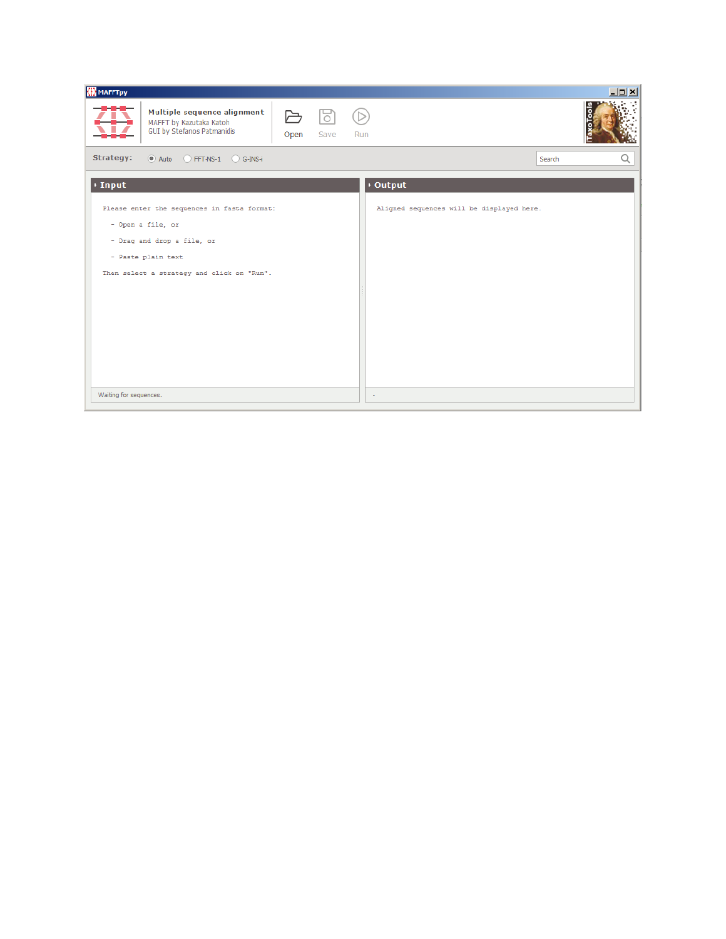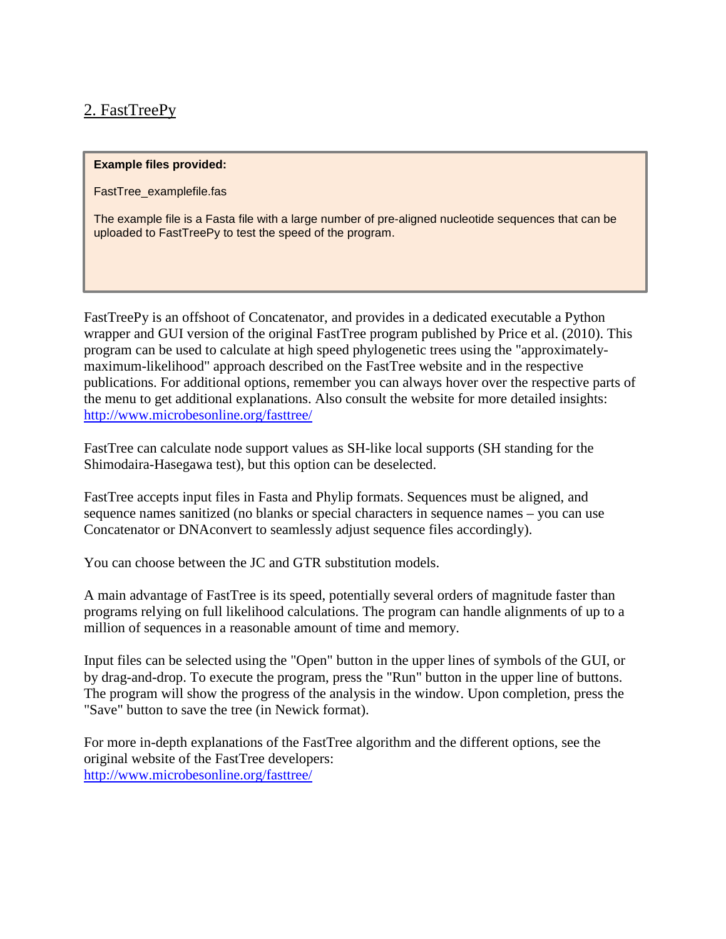# 2. FastTreePy

#### **Example files provided:**

FastTree\_examplefile.fas

The example file is a Fasta file with a large number of pre-aligned nucleotide sequences that can be uploaded to FastTreePy to test the speed of the program.

FastTreePy is an offshoot of Concatenator, and provides in a dedicated executable a Python wrapper and GUI version of the original FastTree program published by Price et al. (2010). This program can be used to calculate at high speed phylogenetic trees using the "approximatelymaximum-likelihood" approach described on the FastTree website and in the respective publications. For additional options, remember you can always hover over the respective parts of the menu to get additional explanations. Also consult the website for more detailed insights: <http://www.microbesonline.org/fasttree/>

FastTree can calculate node support values as SH-like local supports (SH standing for the Shimodaira-Hasegawa test), but this option can be deselected.

FastTree accepts input files in Fasta and Phylip formats. Sequences must be aligned, and sequence names sanitized (no blanks or special characters in sequence names – you can use Concatenator or DNAconvert to seamlessly adjust sequence files accordingly).

You can choose between the JC and GTR substitution models.

A main advantage of FastTree is its speed, potentially several orders of magnitude faster than programs relying on full likelihood calculations. The program can handle alignments of up to a million of sequences in a reasonable amount of time and memory.

Input files can be selected using the "Open" button in the upper lines of symbols of the GUI, or by drag-and-drop. To execute the program, press the "Run" button in the upper line of buttons. The program will show the progress of the analysis in the window. Upon completion, press the "Save" button to save the tree (in Newick format).

For more in-depth explanations of the FastTree algorithm and the different options, see the original website of the FastTree developers: <http://www.microbesonline.org/fasttree/>